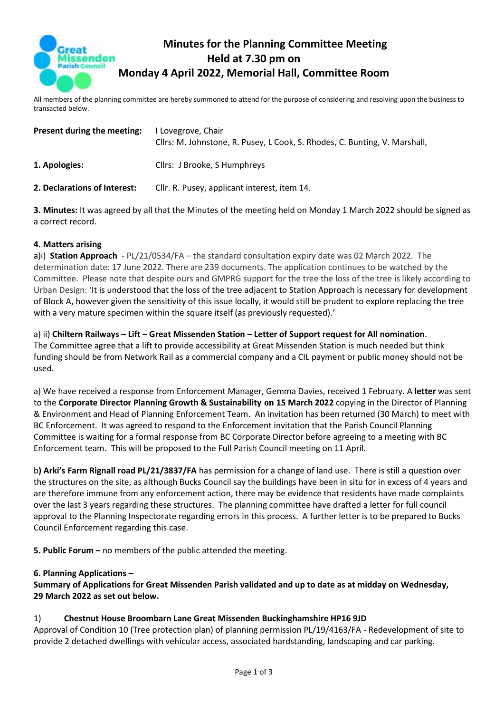

# **Minutes for the Planning Committee Meeting Held at 7.30 pm on Monday 4 April 2022, Memorial Hall, Committee Room**

All members of the planning committee are hereby summoned to attend for the purpose of considering and resolving upon the business to transacted below.

| Present during the meeting:  | I Lovegrove, Chair<br>Cllrs: M. Johnstone, R. Pusey, L Cook, S. Rhodes, C. Bunting, V. Marshall, |
|------------------------------|--------------------------------------------------------------------------------------------------|
| 1. Apologies:                | Cllrs: J Brooke, S Humphreys                                                                     |
| 2. Declarations of Interest: | Cllr. R. Pusey, applicant interest, item 14.                                                     |

**3. Minutes:** It was agreed by all that the Minutes of the meeting held on Monday 1 March 2022 should be signed as a correct record.

#### **4. Matters arising**

a)i) **Station Approach** - PL/21/0534/FA – the standard consultation expiry date was 02 March 2022. The determination date: 17 June 2022. There are 239 documents. The application continues to be watched by the Committee. Please note that despite ours and GMPRG support for the tree the loss of the tree is likely according to Urban Design: 'It is understood that the loss of the tree adjacent to Station Approach is necessary for development of Block A, however given the sensitivity of this issue locally, it would still be prudent to explore replacing the tree with a very mature specimen within the square itself (as previously requested).'

#### a) ii) **Chiltern Railways – Lift – Great Missenden Station – Letter of Support request for All nomination**. The Committee agree that a lift to provide accessibility at Great Missenden Station is much needed but think funding should be from Network Rail as a commercial company and a CIL payment or public money should not be used.

a) We have received a response from Enforcement Manager, Gemma Davies, received 1 February. A **letter** was sent to the **Corporate Director Planning Growth & Sustainability on 15 March 2022** copying in the Director of Planning & Environment and Head of Planning Enforcement Team. An invitation has been returned (30 March) to meet with BC Enforcement. It was agreed to respond to the Enforcement invitation that the Parish Council Planning Committee is waiting for a formal response from BC Corporate Director before agreeing to a meeting with BC Enforcement team. This will be proposed to the Full Parish Council meeting on 11 April.

b**) Arki's Farm Rignall road PL/21/3837/FA** has permission for a change of land use. There is still a question over the structures on the site, as although Bucks Council say the buildings have been in situ for in excess of 4 years and are therefore immune from any enforcement action, there may be evidence that residents have made complaints over the last 3 years regarding these structures. The planning committee have drafted a letter for full council approval to the Planning Inspectorate regarding errors in this process. A further letter is to be prepared to Bucks Council Enforcement regarding this case.

**5. Public Forum –** no members of the public attended the meeting.

#### **6. Planning Applications** –

#### **Summary of Applications for Great Missenden Parish validated and up to date as at midday on Wednesday, 29 March 2022 as set out below.**

#### 1) **Chestnut House Broombarn Lane Great Missenden Buckinghamshire HP16 9JD**

Approval of Condition 10 (Tree protection plan) of planning permission PL/19/4163/FA - Redevelopment of site to provide 2 detached dwellings with vehicular access, associated hardstanding, landscaping and car parking.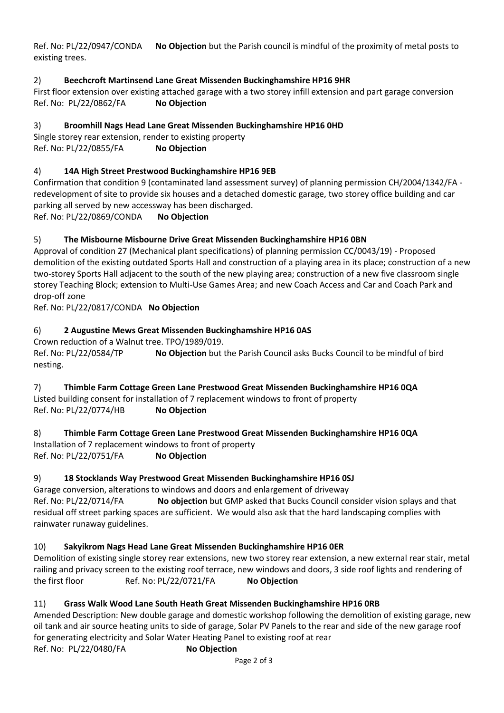Ref. No: PL/22/0947/CONDA **No Objection** but the Parish council is mindful of the proximity of metal posts to existing trees.

## 2) **Beechcroft Martinsend Lane Great Missenden Buckinghamshire HP16 9HR**

First floor extension over existing attached garage with a two storey infill extension and part garage conversion Ref. No: PL/22/0862/FA **No Objection**

## 3) **Broomhill Nags Head Lane Great Missenden Buckinghamshire HP16 0HD**

Single storey rear extension, render to existing property Ref. No: PL/22/0855/FA **No Objection**

### 4) **14A High Street Prestwood Buckinghamshire HP16 9EB**

Confirmation that condition 9 (contaminated land assessment survey) of planning permission CH/2004/1342/FA redevelopment of site to provide six houses and a detached domestic garage, two storey office building and car parking all served by new accessway has been discharged.

Ref. No: PL/22/0869/CONDA **No Objection**

### 5) **The Misbourne Misbourne Drive Great Missenden Buckinghamshire HP16 0BN**

Approval of condition 27 (Mechanical plant specifications) of planning permission CC/0043/19) - Proposed demolition of the existing outdated Sports Hall and construction of a playing area in its place; construction of a new two-storey Sports Hall adjacent to the south of the new playing area; construction of a new five classroom single storey Teaching Block; extension to Multi-Use Games Area; and new Coach Access and Car and Coach Park and drop-off zone

Ref. No: PL/22/0817/CONDA **No Objection**

### 6) **2 Augustine Mews Great Missenden Buckinghamshire HP16 0AS**

Crown reduction of a Walnut tree. TPO/1989/019.

Ref. No: PL/22/0584/TP **No Objection** but the Parish Council asks Bucks Council to be mindful of bird nesting.

## 7) **Thimble Farm Cottage Green Lane Prestwood Great Missenden Buckinghamshire HP16 0QA** Listed building consent for installation of 7 replacement windows to front of property

Ref. No: PL/22/0774/HB **No Objection**

8) **Thimble Farm Cottage Green Lane Prestwood Great Missenden Buckinghamshire HP16 0QA** Installation of 7 replacement windows to front of property Ref. No: PL/22/0751/FA **No Objection**

### 9) **18 Stocklands Way Prestwood Great Missenden Buckinghamshire HP16 0SJ**

Garage conversion, alterations to windows and doors and enlargement of driveway Ref. No: PL/22/0714/FA **No objection** but GMP asked that Bucks Council consider vision splays and that residual off street parking spaces are sufficient. We would also ask that the hard landscaping complies with rainwater runaway guidelines.

### 10) **Sakyikrom Nags Head Lane Great Missenden Buckinghamshire HP16 0ER**

Demolition of existing single storey rear extensions, new two storey rear extension, a new external rear stair, metal railing and privacy screen to the existing roof terrace, new windows and doors, 3 side roof lights and rendering of the first floor Ref. No: PL/22/0721/FA **No Objection**

## 11) **Grass Walk Wood Lane South Heath Great Missenden Buckinghamshire HP16 0RB**

Amended Description: New double garage and domestic workshop following the demolition of existing garage, new oil tank and air source heating units to side of garage, Solar PV Panels to the rear and side of the new garage roof for generating electricity and Solar Water Heating Panel to existing roof at rear Ref. No: PL/22/0480/FA **No Objection**